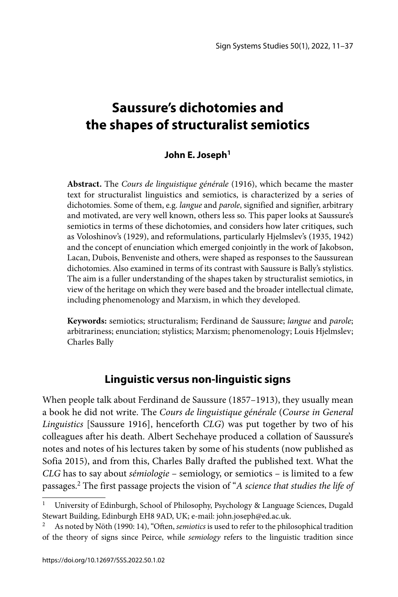# **Saussure's dichotomies and the shapes of structuralist semiotics**

## **John E. Joseph1**

**Abstract.** The *Cours de linguistique générale* (1916), which became the master text for structuralist linguistics and semiotics, is characterized by a series of dichotomies. Some of them, e.g. *langue* and *parole*, signified and signifier, arbitrary and motivated, are very well known, others less so. This paper looks at Saussure's semiotics in terms of these dichotomies, and considers how later critiques, such as Voloshinov's (1929), and reformulations, particularly Hjelmslev's (1935, 1942) and the concept of enunciation which emerged conjointly in the work of Jakobson, Lacan, Dubois, Benveniste and others, were shaped as responses to the Saussurean dichotomies. Also examined in terms of its contrast with Saussure is Bally's stylistics. The aim is a fuller understanding of the shapes taken by structuralist semiotics, in view of the heritage on which they were based and the broader intellectual climate, including phenomenology and Marxism, in which they developed.

**Keywords:** semiotics; structuralism; Ferdinand de Saussure; *langue* and *parole*; arbitrariness; enunciation; stylistics; Marxism; phenomenology; Louis Hjelmslev; Charles Bally

# **Linguistic versus non-linguistic signs**

When people talk about Ferdinand de Saussure (1857–1913), they usually mean a book he did not write. The *Cours de linguistique générale* (*Course in General Linguistics* [Saussure 1916], henceforth *CLG*) was put together by two of his colleagues after his death. Albert Sechehaye produced a collation of Saussure's notes and notes of his lectures taken by some of his students (now published as Sofia 2015), and from this, Charles Bally drafted the published text. What the *CLG* has to say about *sémiologie* – semiology, or semiotics – is limited to a few passages.2 The first passage projects the vision of "*A science that studies the life of* 

University of Edinburgh, School of Philosophy, Psychology & Language Sciences, Dugald Stewart Building, Edinburgh EH8 9AD, UK; e-mail: john.joseph@ed.ac.uk.

As noted by Nöth (1990: 14), "Often, *semiotics* is used to refer to the philosophical tradition of the theory of signs since Peirce, while *semiology* refers to the linguistic tradition since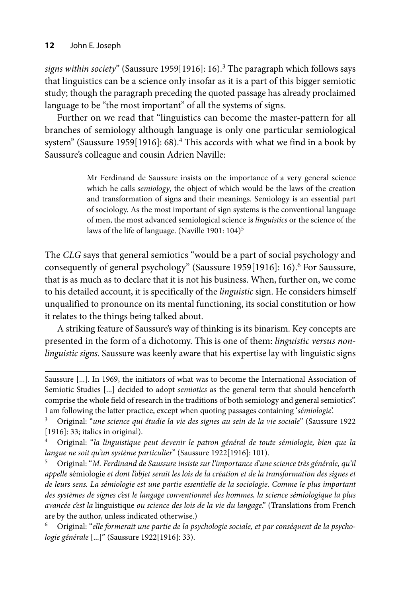*signs within society*" (Saussure 1959[1916]: 16).3 The paragraph which follows says that linguistics can be a science only insofar as it is a part of this bigger semiotic study; though the paragraph preceding the quoted passage has already proclaimed language to be "the most important" of all the systems of signs.

Further on we read that "linguistics can become the master-pattern for all branches of semiology although language is only one particular semiological system" (Saussure 1959[1916]: 68).<sup>4</sup> This accords with what we find in a book by Saussure's colleague and cousin Adrien Naville:

> Mr Ferdinand de Saussure insists on the importance of a very general science which he calls *semiology*, the object of which would be the laws of the creation and transformation of signs and their meanings. Semiology is an essential part of sociology. As the most important of sign systems is the conventional language of men, the most advanced semiological science is *linguistics* or the science of the laws of the life of language. (Naville 1901: 104)<sup>5</sup>

The *CLG* says that general semiotics "would be a part of social psychology and consequently of general psychology" (Saussure 1959[1916]: 16).<sup>6</sup> For Saussure, that is as much as to declare that it is not his business. When, further on, we come to his detailed account, it is specifically of the *linguistic* sign. He considers himself unqualified to pronounce on its mental functioning, its social constitution or how it relates to the things being talked about.

A striking feature of Saussure's way of thinking is its binarism. Key concepts are presented in the form of a dichotomy. This is one of them: *linguistic versus nonlinguistic signs*. Saussure was keenly aware that his expertise lay with linguistic signs

5 Original: "*M. Ferdinand de Saussure insiste sur l'importance d'une science très générale, qu'il appelle* sémiologie *et dont l'objet serait les lois de la création et de la transformation des signes et de leurs sens. La sémiologie est une partie essentielle de la sociologie. Comme le plus important des systèmes de signes c'est le langage conventionnel des hommes, la science sémiologique la plus avancée c'est la* linguistique *ou science des lois de la vie du langage*." (Translations from French are by the author, unless indicated otherwise.)

6 Original: "*elle formerait une partie de la psychologie sociale, et par conséquent de la psychologie générale* [...]" (Saussure 1922[1916]: 33).

Saussure [...]. In 1969, the initiators of what was to become the International Association of Semiotic Studies [...] decided to adopt *semiotics* as the general term that should henceforth comprise the whole field of research in the traditions of both semiology and general semiotics". I am following the latter practice, except when quoting passages containing '*sémiologie*'.

<sup>3</sup> Original: "*une science qui étudie la vie des signes au sein de la vie sociale*" (Saussure 1922 [1916]: 33; italics in original).

<sup>4</sup> Original: "*la linguistique peut devenir le patron général de toute sémiologie, bien que la langue ne soit qu'un système particulier*" (Saussure 1922[1916]: 101).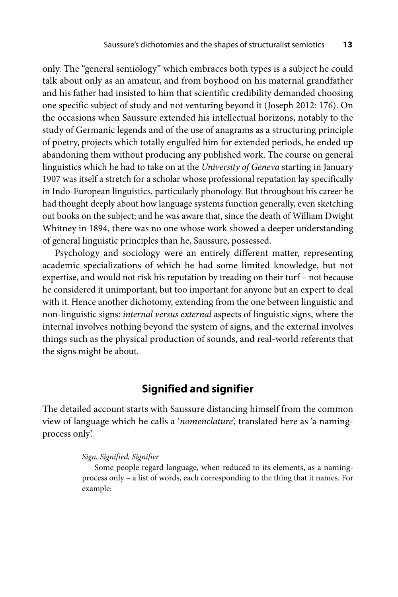only. The "general semiology" which embraces both types is a subject he could talk about only as an amateur, and from boyhood on his maternal grandfather and his father had insisted to him that scientific credibility demanded choosing one specific subject of study and not venturing beyond it (Joseph 2012: 176). On the occasions when Saussure extended his intellectual horizons, notably to the study of Germanic legends and of the use of anagrams as a structuring principle of poetry, projects which totally engulfed him for extended periods, he ended up abandoning them without producing any published work. The course on general linguistics which he had to take on at the *University of Geneva* starting in January 1907 was itself a stretch for a scholar whose professional reputation lay specifically in Indo-European linguistics, particularly phonology. But throughout his career he had thought deeply about how language systems function generally, even sketching out books on the subject; and he was aware that, since the death of William Dwight Whitney in 1894, there was no one whose work showed a deeper understanding of general linguistic principles than he, Saussure, possessed.

Psychology and sociology were an entirely different matter, representing academic specializations of which he had some limited knowledge, but not expertise, and would not risk his reputation by treading on their turf – not because he considered it unimportant, but too important for anyone but an expert to deal with it. Hence another dichotomy, extending from the one between linguistic and non-linguistic signs: *internal versus external* aspects of linguistic signs, where the internal involves nothing beyond the system of signs, and the external involves things such as the physical production of sounds, and real-world referents that the signs might be about.

## **Signified and signifier**

The detailed account starts with Saussure distancing himself from the common view of language which he calls a '*nomenclature*', translated here as 'a namingprocess only'.

#### *Sign, Signified, Signifier*

Some people regard language, when reduced to its elements, as a namingprocess only – a list of words, each corresponding to the thing that it names. For example: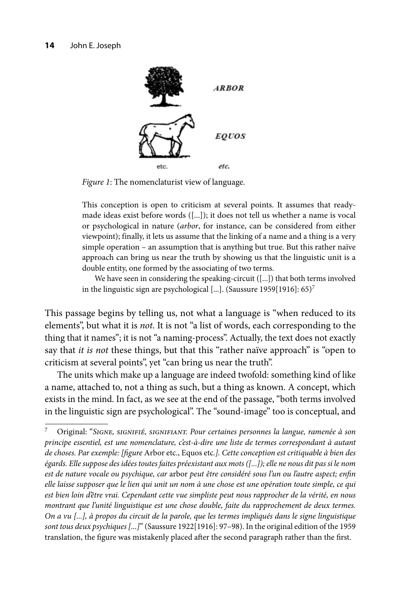

*Figure 1*: The nomenclaturist view of language.

This conception is open to criticism at several points. It assumes that readymade ideas exist before words ([...]); it does not tell us whether a name is vocal or psychological in nature (*arbor*, for instance, can be considered from either viewpoint); finally, it lets us assume that the linking of a name and a thing is a very simple operation – an assumption that is anything but true. But this rather naïve approach can bring us near the truth by showing us that the linguistic unit is a double entity, one formed by the associating of two terms.

We have seen in considering the speaking-circuit ([...]) that both terms involved in the linguistic sign are psychological [...]. (Saussure 1959[1916]: 65)<sup>7</sup>

This passage begins by telling us, not what a language is "when reduced to its elements", but what it is *not*. It is not "a list of words, each corresponding to the thing that it names"; it is not "a naming-process". Actually, the text does not exactly say that *it is not* these things, but that this "rather naïve approach" is "open to criticism at several points", yet "can bring us near the truth".

The units which make up a language are indeed twofold: something kind of like a name, attached to, not a thing as such, but a thing as known. A concept, which exists in the mind. In fact, as we see at the end of the passage, "both terms involved in the linguistic sign are psychological". The "sound-image" too is conceptual, and

<sup>7</sup> Original: "*Signe, signifié, signifiant. Pour certaines personnes la langue, ramenée à son principe essentiel, est une nomenclature, c'est-à-dire une liste de termes correspondant à autant de choses. Par exemple: [fi gure* Arbor etc., Equos etc*.]. Cette conception est critiquable à bien des égards. Elle suppose des idées toutes faites préexistant aux mots ([...]); elle ne nous dit pas si le nom*  est de nature vocale ou psychique, car arbor peut être considéré sous l'un ou l'autre aspect; enfin *elle laisse supposer que le lien qui unit un nom à une chose est une opération toute simple, ce qui est bien loin d'être vrai. Cependant cette vue simpliste peut nous rapprocher de la vérité, en nous montrant que l'unité linguistique est une chose double, faite du rapprochement de deux termes. On a vu [...], à propos du circuit de la parole, que les termes impliqués dans le signe linguistique sont tous deux psychiques [...]*" (Saussure 1922[1916]: 97–98). In the original edition of the 1959 translation, the figure was mistakenly placed after the second paragraph rather than the first.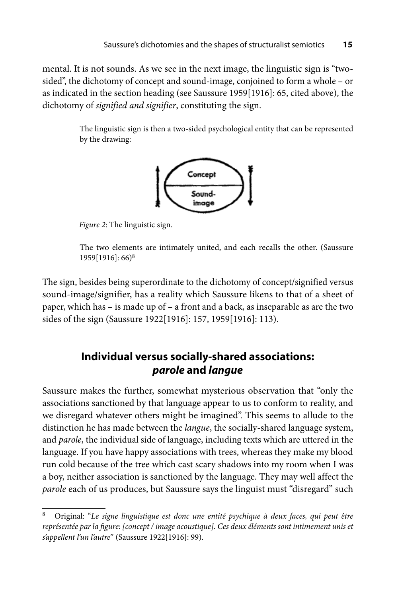mental. It is not sounds. As we see in the next image, the linguistic sign is "twosided", the dichotomy of concept and sound-image, conjoined to form a whole – or as indicated in the section heading (see Saussure 1959[1916]: 65, cited above), the dichotomy of *signified and signifier*, constituting the sign.

> The linguistic sign is then a two-sided psychological entity that can be represented by the drawing:



*Figure 2*: The linguistic sign.

The two elements are intimately united, and each recalls the other. (Saussure 1959[1916]: 66)8

The sign, besides being superordinate to the dichotomy of concept/signified versus sound-image/signifier, has a reality which Saussure likens to that of a sheet of paper, which has – is made up of – a front and a back, as inseparable as are the two sides of the sign (Saussure 1922[1916]: 157, 1959[1916]: 113).

# **Individual versus socially-shared associations:**  *parole* **and** *langue*

Saussure makes the further, somewhat mysterious observation that "only the associations sanctioned by that language appear to us to conform to reality, and we disregard whatever others might be imagined". This seems to allude to the distinction he has made between the *langue*, the socially-shared language system, and *parole*, the individual side of language, including texts which are uttered in the language. If you have happy associations with trees, whereas they make my blood run cold because of the tree which cast scary shadows into my room when I was a boy, neither association is sanctioned by the language. They may well affect the *parole* each of us produces, but Saussure says the linguist must "disregard" such

<sup>8</sup> Original: "*Le signe linguistique est donc une entité psychique à deux faces, qui peut être*  représentée par la figure: [concept / image acoustique]. Ces deux éléments sont intimement unis et *s'appellent l'un l'autre*" (Saussure 1922[1916]: 99).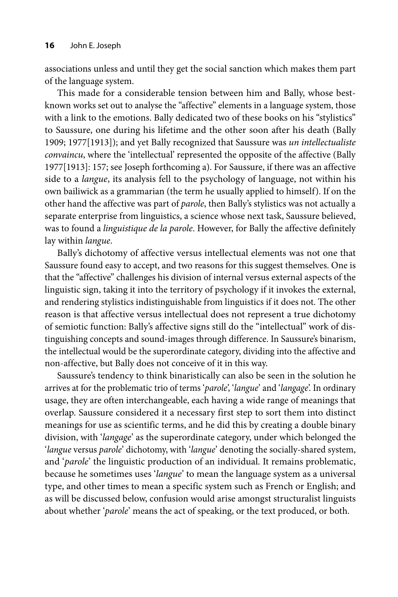associations unless and until they get the social sanction which makes them part of the language system.

This made for a considerable tension between him and Bally, whose bestknown works set out to analyse the "affective" elements in a language system, those with a link to the emotions. Bally dedicated two of these books on his "stylistics" to Saussure, one during his lifetime and the other soon after his death (Bally 1909; 1977[1913]); and yet Bally recognized that Saussure was *un intellectualiste convaincu*, where the 'intellectual' represented the opposite of the affective (Bally 1977[1913]: 157; see Joseph forthcoming a). For Saussure, if there was an affective side to a *langue*, its analysis fell to the psychology of language, not within his own bailiwick as a grammarian (the term he usually applied to himself). If on the other hand the affective was part of *parole*, then Bally's stylistics was not actually a separate enterprise from linguistics, a science whose next task, Saussure believed, was to found a *linguistique de la parole*. However, for Bally the affective definitely lay within *langue*.

Bally's dichotomy of affective versus intellectual elements was not one that Saussure found easy to accept, and two reasons for this suggest themselves. One is that the "affective" challenges his division of internal versus external aspects of the linguistic sign, taking it into the territory of psychology if it invokes the external, and rendering stylistics indistinguishable from linguistics if it does not. The other reason is that affective versus intellectual does not represent a true dichotomy of semiotic function: Bally's affective signs still do the "intellectual" work of distinguishing concepts and sound-images through difference. In Saussure's binarism, the intellectual would be the superordinate category, dividing into the affective and non-affective, but Bally does not conceive of it in this way.

Saussure's tendency to think binaristically can also be seen in the solution he arrives at for the problematic trio of terms '*parole*', '*langue*' and '*langage*'. In ordinary usage, they are often interchangeable, each having a wide range of meanings that overlap. Saussure considered it a necessary first step to sort them into distinct meanings for use as scientific terms, and he did this by creating a double binary division, with '*langage*' as the superordinate category, under which belonged the '*langue* versus *parole*' dichotomy, with '*langue*' denoting the socially-shared system, and '*parole*' the linguistic production of an individual. It remains problematic, because he sometimes uses '*langue*' to mean the language system as a universal type, and other times to mean a specific system such as French or English; and as will be discussed below, confusion would arise amongst structuralist linguists about whether '*parole*' means the act of speaking, or the text produced, or both.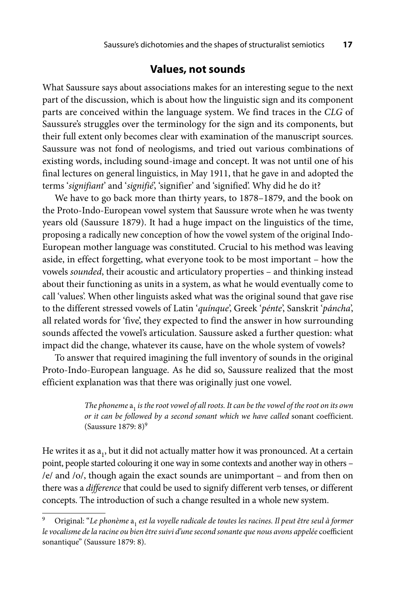### **Values, not sounds**

What Saussure says about associations makes for an interesting segue to the next part of the discussion, which is about how the linguistic sign and its component parts are conceived within the language system. We find traces in the *CLG* of Saussure's struggles over the terminology for the sign and its components, but their full extent only becomes clear with examination of the manuscript sources. Saussure was not fond of neologisms, and tried out various combinations of existing words, including sound-image and concept. It was not until one of his final lectures on general linguistics, in May 1911, that he gave in and adopted the terms '*signifiant*' and '*signifié*', 'signifier' and 'signified'. Why did he do it?

We have to go back more than thirty years, to 1878–1879, and the book on the Proto-Indo-European vowel system that Saussure wrote when he was twenty years old (Saussure 1879). It had a huge impact on the linguistics of the time, proposing a radically new conception of how the vowel system of the original Indo-European mother language was constituted. Crucial to his method was leaving aside, in effect forgetting, what everyone took to be most important – how the vowels *sounded*, their acoustic and articulatory properties – and thinking instead about their functioning as units in a system, as what he would eventually come to call 'values'. When other linguists asked what was the original sound that gave rise to the different stressed vowels of Latin '*quínque*', Greek '*pénte*', Sanskrit '*páncha*', all related words for 'five', they expected to find the answer in how surrounding sounds affected the vowel's articulation. Saussure asked a further question: what impact did the change, whatever its cause, have on the whole system of vowels?

To answer that required imagining the full inventory of sounds in the original Proto-Indo-European language. As he did so, Saussure realized that the most efficient explanation was that there was originally just one vowel.

> *The phoneme*  $a_1$  *is the root vowel of all roots. It can be the vowel of the root on its own or it can be followed by a second sonant which we have called* sonant coefficient. (Saussure 1879: 8)9

He writes it as  $a_1$ , but it did not actually matter how it was pronounced. At a certain point, people started colouring it one way in some contexts and another way in others – /e/ and /o/, though again the exact sounds are unimportant – and from then on there was a *difference* that could be used to signify different verb tenses, or different concepts. The introduction of such a change resulted in a whole new system.

Original: "Le phonème a<sub>1</sub> est la voyelle radicale de toutes les racines. Il peut être seul à former le vocalisme de la racine ou bien être suivi d'une second sonante que nous avons appelée coefficient sonantique" (Saussure 1879: 8).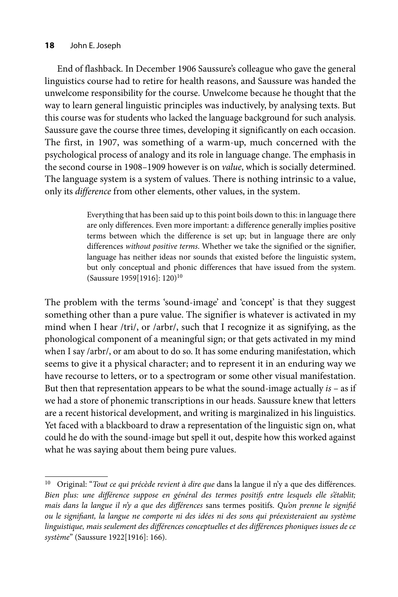#### **18** John E. Joseph

End of flashback. In December 1906 Saussure's colleague who gave the general linguistics course had to retire for health reasons, and Saussure was handed the unwelcome responsibility for the course. Unwelcome because he thought that the way to learn general linguistic principles was inductively, by analysing texts. But this course was for students who lacked the language background for such analysis. Saussure gave the course three times, developing it significantly on each occasion. The first, in 1907, was something of a warm-up, much concerned with the psychological process of analogy and its role in language change. The emphasis in the second course in 1908–1909 however is on *value*, which is socially determined. The language system is a system of values. There is nothing intrinsic to a value, only its *difference* from other elements, other values, in the system.

> Everything that has been said up to this point boils down to this: in language there are only differences. Even more important: a difference generally implies positive terms between which the difference is set up; but in language there are only differences *without positive terms*. Whether we take the signified or the signifier, language has neither ideas nor sounds that existed before the linguistic system, but only conceptual and phonic differences that have issued from the system. (Saussure 1959[1916]: 120)10

The problem with the terms 'sound-image' and 'concept' is that they suggest something other than a pure value. The signifier is whatever is activated in my mind when I hear /tri/, or /arbr/, such that I recognize it as signifying, as the phonological component of a meaningful sign; or that gets activated in my mind when I say /arbr/, or am about to do so. It has some enduring manifestation, which seems to give it a physical character; and to represent it in an enduring way we have recourse to letters, or to a spectrogram or some other visual manifestation. But then that representation appears to be what the sound-image actually *is* – as if we had a store of phonemic transcriptions in our heads. Saussure knew that letters are a recent historical development, and writing is marginalized in his linguistics. Yet faced with a blackboard to draw a representation of the linguistic sign on, what could he do with the sound-image but spell it out, despite how this worked against what he was saying about them being pure values.

<sup>&</sup>lt;sup>10</sup> Original: "Tout ce qui précède revient à dire que dans la langue il n'y a que des différences. Bien plus: une différence suppose en général des termes positifs entre lesquels elle s'établit; *mais dans la langue il n'y a que des diff érences* sans termes positifs. *Qu'on prenne le signifi é ou le signifi ant, la langue ne comporte ni des idées ni des sons qui préexisteraient au système linguistique, mais seulement des diff érences conceptuelles et des diff érences phoniques issues de ce système*" (Saussure 1922[1916]: 166).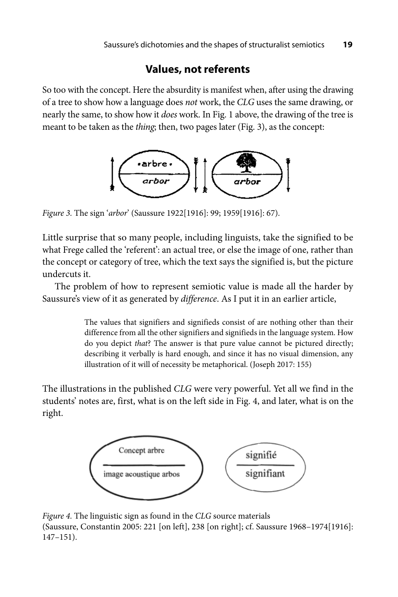## **Values, not referents**

So too with the concept. Here the absurdity is manifest when, after using the drawing of a tree to show how a language does *not* work, the *CLG* uses the same drawing, or nearly the same, to show how it *does* work. In Fig. 1 above, the drawing of the tree is meant to be taken as the *thing*; then, two pages later (Fig. 3), as the concept:



*Figure 3.* The sign '*arbor*' (Saussure 1922[1916]: 99; 1959[1916]: 67).

Little surprise that so many people, including linguists, take the signified to be what Frege called the 'referent': an actual tree, or else the image of one, rather than the concept or category of tree, which the text says the signified is, but the picture undercuts it.

The problem of how to represent semiotic value is made all the harder by Saussure's view of it as generated by *difference*. As I put it in an earlier article,

> The values that signifiers and signifieds consist of are nothing other than their difference from all the other signifiers and signifieds in the language system. How do you depict *that*? The answer is that pure value cannot be pictured directly; describing it verbally is hard enough, and since it has no visual dimension, any illustration of it will of necessity be metaphorical. (Joseph 2017: 155)

The illustrations in the published *CLG* were very powerful. Yet all we find in the students' notes are, first, what is on the left side in Fig. 4, and later, what is on the right.



*Figure 4.* The linguistic sign as found in the *CLG* source materials (Saussure, Constantin 2005: 221 [on left], 238 [on right]; cf. Saussure 1968–1974[1916]: 147–151).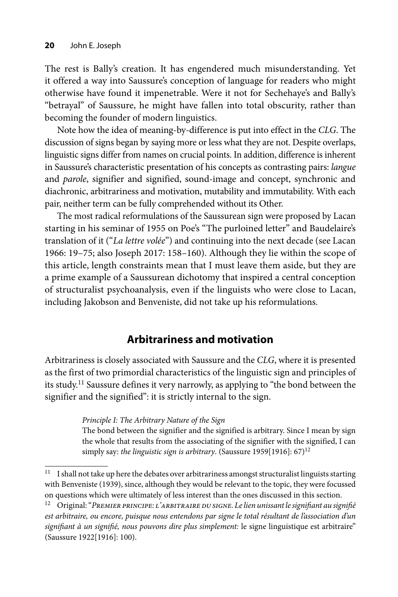The rest is Bally's creation. It has engendered much misunderstanding. Yet it offered a way into Saussure's conception of language for readers who might otherwise have found it impenetrable. Were it not for Sechehaye's and Bally's "betrayal" of Saussure, he might have fallen into total obscurity, rather than becoming the founder of modern linguistics.

Note how the idea of meaning-by-difference is put into effect in the *CLG*. The discussion of signs began by saying more or less what they are not. Despite overlaps, linguistic signs differ from names on crucial points. In addition, difference is inherent in Saussure's characteristic presentation of his concepts as contrasting pairs: *langue*  and *parole*, signifier and signified, sound-image and concept, synchronic and diachronic, arbitrariness and motivation, mutability and immutability. With each pair, neither term can be fully comprehended without its Other.

The most radical reformulations of the Saussurean sign were proposed by Lacan starting in his seminar of 1955 on Poe's "The purloined letter" and Baudelaire's translation of it ("*La lettre volée*") and continuing into the next decade (see Lacan 1966: 19–75; also Joseph 2017: 158–160). Although they lie within the scope of this article, length constraints mean that I must leave them aside, but they are a prime example of a Saussurean dichotomy that inspired a central conception of structuralist psychoanalysis, even if the linguists who were close to Lacan, including Jakobson and Benveniste, did not take up his reformulations.

# **Arbitrariness and motivation**

Arbitrariness is closely associated with Saussure and the *CLG*, where it is presented as the first of two primordial characteristics of the linguistic sign and principles of its study.11 Saussure defines it very narrowly, as applying to "the bond between the signifier and the signified": it is strictly internal to the sign.

#### *Principle I: The Arbitrary Nature of the Sign*

The bond between the signifier and the signified is arbitrary. Since I mean by sign the whole that results from the associating of the signifier with the signified, I can simply say: *the linguistic sign is arbitrary*. (Saussure 1959[1916]: 67)<sup>12</sup>

<sup>&</sup>lt;sup>11</sup> I shall not take up here the debates over arbitrariness amongst structuralist linguists starting with Benveniste (1939), since, although they would be relevant to the topic, they were focussed on questions which were ultimately of less interest than the ones discussed in this section.

<sup>12</sup> Original: "*Premier principe: l'arbitraire du signe. Le lien unissant le signifi ant au signifi é est arbitraire, ou encore, puisque nous entendons par signe le total résultant de l'association d'un*  signifiant à un signifié, nous pouvons dire plus simplement: le signe linguistique est arbitraire" (Saussure 1922[1916]: 100).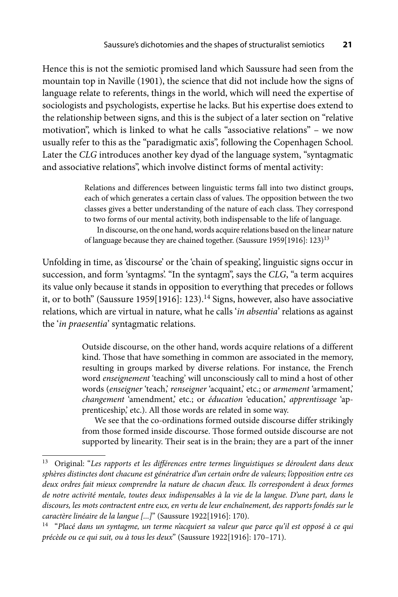Hence this is not the semiotic promised land which Saussure had seen from the mountain top in Naville (1901), the science that did not include how the signs of language relate to referents, things in the world, which will need the expertise of sociologists and psychologists, expertise he lacks. But his expertise does extend to the relationship between signs, and this is the subject of a later section on "relative motivation", which is linked to what he calls "associative relations" – we now usually refer to this as the "paradigmatic axis", following the Copenhagen School. Later the *CLG* introduces another key dyad of the language system, "syntagmatic and associative relations", which involve distinct forms of mental activity:

> Relations and differences between linguistic terms fall into two distinct groups, each of which generates a certain class of values. The opposition between the two classes gives a better understanding of the nature of each class. They correspond to two forms of our mental activity, both indispensable to the life of language. In discourse, on the one hand, words acquire relations based on the linear nature of language because they are chained together. (Saussure 1959[1916]: 123)13

Unfolding in time, as 'discourse' or the 'chain of speaking', linguistic signs occur in succession, and form 'syntagms'. "In the syntagm", says the *CLG*, "a term acquires its value only because it stands in opposition to everything that precedes or follows it, or to both" (Saussure 1959[1916]: 123).<sup>14</sup> Signs, however, also have associative relations, which are virtual in nature, what he calls '*in absentia*' relations as against the '*in praesentia*' syntagmatic relations.

> Outside discourse, on the other hand, words acquire relations of a different kind. Those that have something in common are associated in the memory, resulting in groups marked by diverse relations. For instance, the French word *enseignement* 'teaching' will unconsciously call to mind a host of other words (*enseigner* 'teach,' *renseigner* 'acquaint,' etc.; or *armement* 'armament,' *changement* 'amendment,' etc.; or *éducation* 'education,' *apprentissage* 'apprenticeship,' etc.). All those words are related in some way.

> We see that the co-ordinations formed outside discourse differ strikingly from those formed inside discourse. Those formed outside discourse are not supported by linearity. Their seat is in the brain; they are a part of the inner

<sup>&</sup>lt;sup>13</sup> Original: "Les rapports et les différences entre termes linguistiques se déroulent dans deux *sphères distinctes dont chacune est génératrice d'un certain ordre de valeurs; l'opposition entre ces deux ordres fait mieux comprendre la nature de chacun d'eux. Ils correspondent à deux formes de notre activité mentale, toutes deux indispensables à la vie de la langue. D'une part, dans le discours, les mots contractent entre eux, en vertu de leur enchaînement, des rapports fondés sur le caractère linéaire de la langue [...]*" (Saussure 1922[1916]: 170).

<sup>14 &</sup>quot;*Placé dans un syntagme, un terme n'acquiert sa valeur que parce qu'il est opposé à ce qui précède ou ce qui suit, ou à tous les deux*" (Saussure 1922[1916]: 170–171).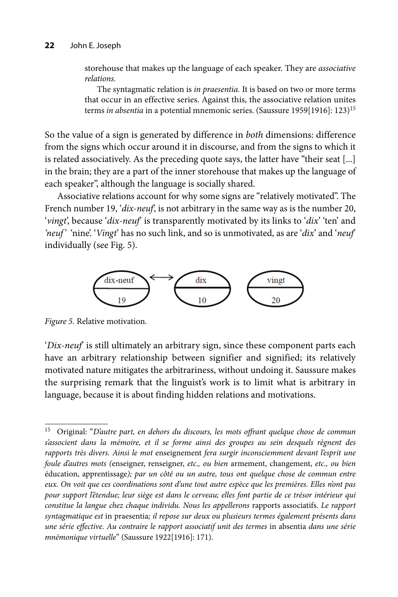storehouse that makes up the language of each speaker. They are *associative relations.*

The syntagmatic relation is *in praesentia.* It is based on two or more terms that occur in an effective series. Against this, the associative relation unites terms *in absentia* in a potential mnemonic series. (Saussure 1959[1916]: 123)15

So the value of a sign is generated by difference in *both* dimensions: difference from the signs which occur around it in discourse, and from the signs to which it is related associatively. As the preceding quote says, the latter have "their seat [...] in the brain; they are a part of the inner storehouse that makes up the language of each speaker", although the language is socially shared.

Associative relations account for why some signs are "relatively motivated". The French number 19, '*dix-neuf*', is not arbitrary in the same way as is the number 20, '*vingt*', because '*dix-neuf*' is transparently motivated by its links to '*dix*' 'ten' and *'neuf'* 'nine'. '*Vingt*' has no such link, and so is unmotivated, as are '*dix*' and '*neuf*' individually (see Fig. 5).



*Figure 5.* Relative motivation.

'*Dix-neuf*' is still ultimately an arbitrary sign, since these component parts each have an arbitrary relationship between signifier and signified; its relatively motivated nature mitigates the arbitrariness, without undoing it. Saussure makes the surprising remark that the linguist's work is to limit what is arbitrary in language, because it is about finding hidden relations and motivations.

<sup>&</sup>lt;sup>15</sup> Original: "D'autre part, en dehors du discours, les mots offrant quelque chose de commun s'associent dans la mémoire, et il se forme ainsi des groupes au sein desquels règnent des *rapports très divers. Ainsi le mot* enseignement *fera surgir inconsciemment devant l'esprit une foule d'autres mots (*enseigner, renseigner, *etc., ou bien* armement, changement, *etc., ou bien*  éducation, apprentissage); par un côté ou un autre, tous ont quelque chose de commun entre *eux. On voit que ces coordinations sont d'une tout autre espèce que les premières. Elles n'ont pas pour support l'étendue; leur siège est dans le cerveau; elles font partie de ce trésor intérieur qui constitue la langue chez chaque individu. Nous les appellerons* rapports associatifs. *Le rapport syntagmatique est* in praesentia*; il repose sur deux ou plusieurs termes également présents dans une série eff ective. Au contraire le rapport associatif unit des termes* in absentia *dans une série mnémonique virtuelle*" (Saussure 1922[1916]: 171).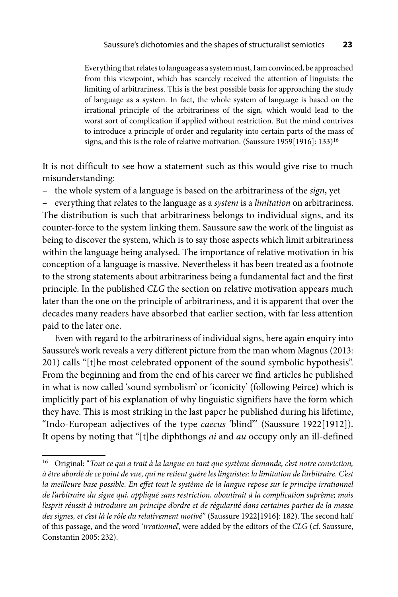Everything that relates to language as a system must, I am convinced, be approached from this viewpoint, which has scarcely received the attention of linguists: the limiting of arbitrariness. This is the best possible basis for approaching the study of language as a system. In fact, the whole system of language is based on the irrational principle of the arbitrariness of the sign, which would lead to the worst sort of complication if applied without restriction. But the mind contrives to introduce a principle of order and regularity into certain parts of the mass of signs, and this is the role of relative motivation. (Saussure 1959[1916]: 133)16

It is not difficult to see how a statement such as this would give rise to much misunderstanding:

– the whole system of a language is based on the arbitrariness of the *sign*, yet

– everything that relates to the language as a *system* is a *limitation* on arbitrariness. The distribution is such that arbitrariness belongs to individual signs, and its counter-force to the system linking them. Saussure saw the work of the linguist as being to discover the system, which is to say those aspects which limit arbitrariness within the language being analysed. The importance of relative motivation in his conception of a language is massive. Nevertheless it has been treated as a footnote to the strong statements about arbitrariness being a fundamental fact and the first principle. In the published *CLG* the section on relative motivation appears much later than the one on the principle of arbitrariness, and it is apparent that over the decades many readers have absorbed that earlier section, with far less attention paid to the later one.

Even with regard to the arbitrariness of individual signs, here again enquiry into Saussure's work reveals a very different picture from the man whom Magnus (2013: 201) calls "[t]he most celebrated opponent of the sound symbolic hypothesis". From the beginning and from the end of his career we find articles he published in what is now called 'sound symbolism' or 'iconicity' (following Peirce) which is implicitly part of his explanation of why linguistic signifiers have the form which they have. This is most striking in the last paper he published during his lifetime, "Indo-European adjectives of the type *caecus* 'blind'" (Saussure 1922[1912]). It opens by noting that "[t]he diphthongs *ai* and *au* occupy only an ill-defined

<sup>16</sup> Original: "*Tout ce qui a trait à la langue en tant que système demande, c'est notre conviction, à être abordé de ce point de vue, qui ne retient guère les linguistes: la limitation de l'arbitraire. C'est*  la meilleure base possible. En effet tout le système de la langue repose sur le principe irrationnel *de l'arbitraire du signe qui, appliqué sans restriction, aboutirait à la complication suprême; mais l'esprit réussit à introduire un principe d'ordre et de régularité dans certaines parties de la masse*  des signes, et c'est là le rôle du relativement motivé" (Saussure 1922[1916]: 182). The second half of this passage, and the word '*irrationnel*', were added by the editors of the *CLG* (cf. Saussure, Constantin 2005: 232).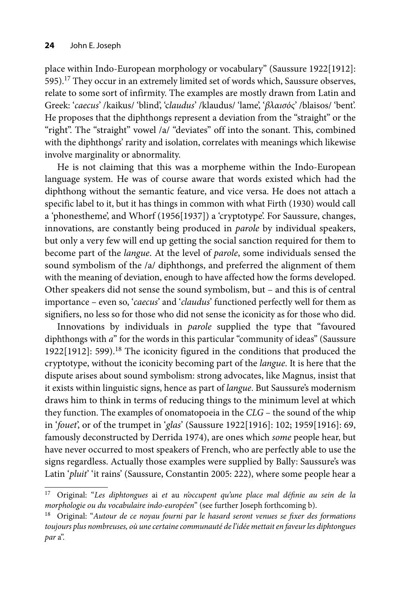place within Indo-European morphology or vocabulary" (Saussure 1922[1912]: 595).<sup>17</sup> They occur in an extremely limited set of words which, Saussure observes, relate to some sort of infirmity. The examples are mostly drawn from Latin and Greek: '*caecus*' /kaikus/ 'blind', 'c*laudus*' /klaudus/ 'lame', '*βλαισός*' /blaisos/ 'bent'. He proposes that the diphthongs represent a deviation from the "straight" or the "right". The "straight" vowel /a/ "deviates" off into the sonant. This, combined with the diphthongs' rarity and isolation, correlates with meanings which likewise involve marginality or abnormality.

He is not claiming that this was a morpheme within the Indo-European language system. He was of course aware that words existed which had the diphthong without the semantic feature, and vice versa. He does not attach a specific label to it, but it has things in common with what Firth (1930) would call a 'phonestheme', and Whorf (1956[1937]) a 'cryptotype'. For Saussure, changes, innovations, are constantly being produced in *parole* by individual speakers, but only a very few will end up getting the social sanction required for them to become part of the *langue*. At the level of *parole*, some individuals sensed the sound symbolism of the /a/ diphthongs, and preferred the alignment of them with the meaning of deviation, enough to have affected how the forms developed. Other speakers did not sense the sound symbolism, but – and this is of central importance – even so, '*caecus*' and '*claudus*' functioned perfectly well for them as signifiers, no less so for those who did not sense the iconicity as for those who did.

Innovations by individuals in *parole* supplied the type that "favoured diphthongs with *a*" for the words in this particular "community of ideas" (Saussure 1922[1912]: 599).18 The iconicity figured in the conditions that produced the cryptotype, without the iconicity becoming part of the *langue*. It is here that the dispute arises about sound symbolism: strong advocates, like Magnus, insist that it exists within linguistic signs, hence as part of *langue*. But Saussure's modernism draws him to think in terms of reducing things to the minimum level at which they function. The examples of onomatopoeia in the *CLG* – the sound of the whip in '*fouet*', or of the trumpet in '*glas*' (Saussure 1922[1916]: 102; 1959[1916]: 69, famously deconstructed by Derrida 1974), are ones which *some* people hear, but have never occurred to most speakers of French, who are perfectly able to use the signs regardless. Actually those examples were supplied by Bally: Saussure's was Latin '*pluit*' 'it rains' (Saussure, Constantin 2005: 222), where some people hear a

<sup>&</sup>lt;sup>17</sup> Original: "Les diphtongues ai et au n'occupent qu'une place mal définie au sein de la *morphologie ou du vocabulaire indo-européen*" (see further Joseph forthcoming b).

<sup>&</sup>lt;sup>18</sup> Original: "Autour de ce noyau fourni par le hasard seront venues se fixer des formations *toujours plus nombreuses, où une certaine communauté de l'idée mettait en faveur les diphtongues par* a".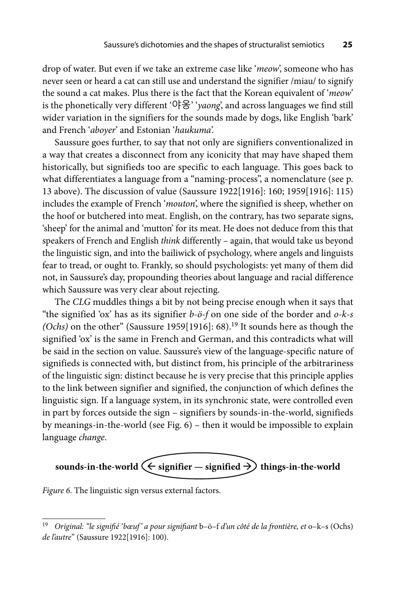drop of water. But even if we take an extreme case like '*meow*', someone who has never seen or heard a cat can still use and understand the signifier /miau/ to signify the sound a cat makes. Plus there is the fact that the Korean equivalent of '*meow*' is the phonetically very different '야옹' '*yaong*', and across languages we find still wider variation in the signifiers for the sounds made by dogs, like English 'bark' and French '*aboyer*' and Estonian '*haukuma*'.

Saussure goes further, to say that not only are signifiers conventionalized in a way that creates a disconnect from any iconicity that may have shaped them historically, but signifieds too are specific to each language. This goes back to what differentiates a language from a "naming-process", a nomenclature (see p. 13 above). The discussion of value (Saussure 1922[1916]: 160; 1959[1916]: 115) includes the example of French '*mouton*', where the signified is sheep, whether on the hoof or butchered into meat. English, on the contrary, has two separate signs, 'sheep' for the animal and 'mutton' for its meat. He does not deduce from this that speakers of French and English *think* differently – again, that would take us beyond the linguistic sign, and into the bailiwick of psychology, where angels and linguists fear to tread, or ought to. Frankly, so should psychologists: yet many of them did not, in Saussure's day, propounding theories about language and racial difference which Saussure was very clear about rejecting.

The *CLG* muddles things a bit by not being precise enough when it says that "the signified 'ox' has as its signifier *b-ö-f* on one side of the border and *o-k-s (Ochs)* on the other" (Saussure 1959[1916]: 68).<sup>19</sup> It sounds here as though the signified 'ox' is the same in French and German, and this contradicts what will be said in the section on value. Saussure's view of the language-specific nature of signifieds is connected with, but distinct from, his principle of the arbitrariness of the linguistic sign: distinct because he is very precise that this principle applies to the link between signifier and signified, the conjunction of which defines the linguistic sign. If a language system, in its synchronic state, were controlled even in part by forces outside the sign – signifiers by sounds-in-the-world, signifieds by meanings-in-the-world (see Fig. 6) – then it would be impossible to explain language *change*.

$$
sounds-in-the-world \leftarrow significant - significant \rightarrow things-in-the-world
$$

*Figure 6.* The linguistic sign versus external factors.

<sup>&</sup>lt;sup>19</sup> Original: "le signifié 'bœuf' a pour signifiant b–ö–f d'un côté de la frontière, et o–k–s (Ochs) *de l'autre*" (Saussure 1922[1916]: 100).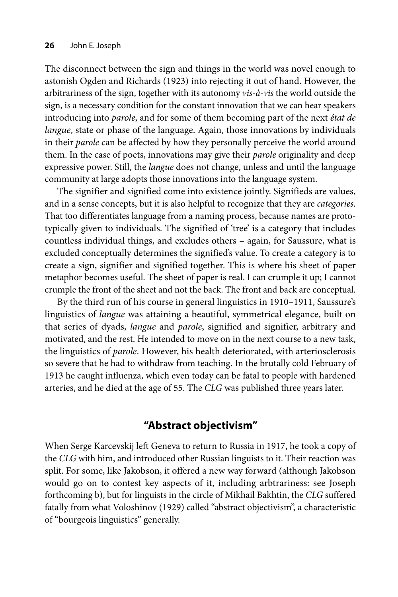The disconnect between the sign and things in the world was novel enough to astonish Ogden and Richards (1923) into rejecting it out of hand. However, the arbitrariness of the sign, together with its autonomy *vis-à-vis* the world outside the sign, is a necessary condition for the constant innovation that we can hear speakers introducing into *parole*, and for some of them becoming part of the next *état de langue*, state or phase of the language. Again, those innovations by individuals in their *parole* can be affected by how they personally perceive the world around them. In the case of poets, innovations may give their *parole* originality and deep expressive power. Still, the *langue* does not change, unless and until the language community at large adopts those innovations into the language system.

The signifier and signified come into existence jointly. Signifieds are values, and in a sense concepts, but it is also helpful to recognize that they are *categories*. That too differentiates language from a naming process, because names are prototypically given to individuals. The signified of 'tree' is a category that includes countless individual things, and excludes others – again, for Saussure, what is excluded conceptually determines the signified's value. To create a category is to create a sign, signifier and signified together. This is where his sheet of paper metaphor becomes useful. The sheet of paper is real. I can crumple it up; I cannot crumple the front of the sheet and not the back. The front and back are conceptual.

By the third run of his course in general linguistics in 1910–1911, Saussure's linguistics of *langue* was attaining a beautiful, symmetrical elegance, built on that series of dyads, *langue* and *parole*, signified and signifier, arbitrary and motivated, and the rest. He intended to move on in the next course to a new task, the linguistics of *parole*. However, his health deteriorated, with arteriosclerosis so severe that he had to withdraw from teaching. In the brutally cold February of 1913 he caught influenza, which even today can be fatal to people with hardened arteries, and he died at the age of 55. The *CLG* was published three years later.

# **"Abstract objectivism"**

When Serge Karcevskij left Geneva to return to Russia in 1917, he took a copy of the *CLG* with him, and introduced other Russian linguists to it. Their reaction was split. For some, like Jakobson, it offered a new way forward (although Jakobson would go on to contest key aspects of it, including arbtrariness: see Joseph forthcoming b), but for linguists in the circle of Mikhail Bakhtin, the *CLG* suffered fatally from what Voloshinov (1929) called "abstract objectivism", a characteristic of "bourgeois linguistics" generally.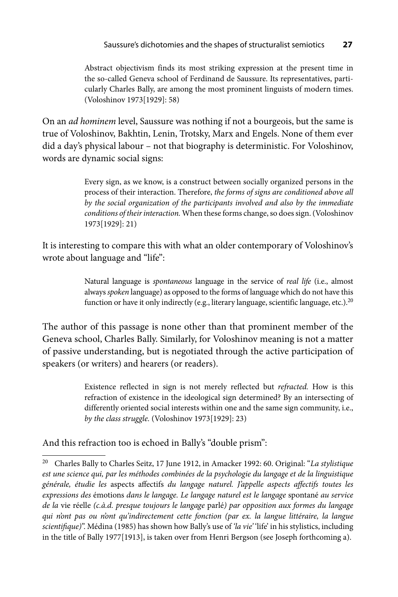Abstract objectivism finds its most striking expression at the present time in the so-called Geneva school of Ferdinand de Saussure. Its representatives, particularly Charles Bally, are among the most prominent linguists of modern times. (Voloshinov 1973[1929]: 58)

On an *ad hominem* level, Saussure was nothing if not a bourgeois, but the same is true of Voloshinov, Bakhtin, Lenin, Trotsky, Marx and Engels. None of them ever did a day's physical labour – not that biography is deterministic. For Voloshinov, words are dynamic social signs:

> Every sign, as we know, is a construct between socially organized persons in the process of their interaction. Therefore, *the forms of signs are conditioned above all by the social organization of the participants involved and also by the immediate conditions of their interaction.* When these forms change, so does sign. (Voloshinov 1973[1929]: 21)

It is interesting to compare this with what an older contemporary of Voloshinov's wrote about language and "life":

> Natural language is *spontaneous* language in the service of *real life* (i.e., almost always *spoken* language) as opposed to the forms of language which do not have this function or have it only indirectly (e.g., literary language, scientific language, etc.).<sup>20</sup>

The author of this passage is none other than that prominent member of the Geneva school, Charles Bally. Similarly, for Voloshinov meaning is not a matter of passive understanding, but is negotiated through the active participation of speakers (or writers) and hearers (or readers).

> Existence reflected in sign is not merely reflected but *refracted.* How is this refraction of existence in the ideological sign determined? By an intersecting of differently oriented social interests within one and the same sign community, i.e., *by the class struggle.* (Voloshinov 1973[1929]: 23)

And this refraction too is echoed in Bally's "double prism":

<sup>20</sup> Charles Bally to Charles Seitz, 17 June 1912, in Amacker 1992: 60. Original: "*La stylistique est une science qui, par les méthodes combinées de la psychologie du langage et de la linguistique*  générale, étudie les aspects affectifs *du langage naturel. J'appelle aspects affectifs toutes les expressions des* émotions *dans le langage. Le langage naturel est le langage* spontané *au service de la* vie réelle *(c.à.d. presque toujours le langage* parlé*) par opposition aux formes du langage qui n'ont pas ou n'ont qu'indirectement cette fonction (par ex. la langue littéraire, la langue scientifi que)*". Médina (1985) has shown how Bally's use of *'la vie'* 'life' in his stylistics, including in the title of Bally 1977[1913], is taken over from Henri Bergson (see Joseph forthcoming a).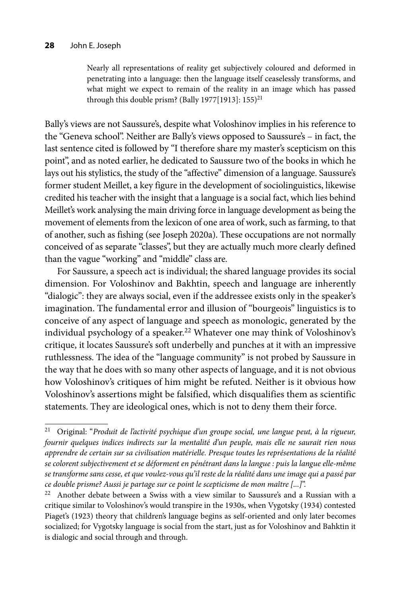Nearly all representations of reality get subjectively coloured and deformed in penetrating into a language: then the language itself ceaselessly transforms, and what might we expect to remain of the reality in an image which has passed through this double prism? (Bally 1977[1913]:  $155)^{21}$ 

Bally's views are not Saussure's, despite what Voloshinov implies in his reference to the "Geneva school". Neither are Bally's views opposed to Saussure's – in fact, the last sentence cited is followed by "I therefore share my master's scepticism on this point", and as noted earlier, he dedicated to Saussure two of the books in which he lays out his stylistics, the study of the "affective" dimension of a language. Saussure's former student Meillet, a key figure in the development of sociolinguistics, likewise credited his teacher with the insight that a language is a social fact, which lies behind Meillet's work analysing the main driving force in language development as being the movement of elements from the lexicon of one area of work, such as farming, to that of another, such as fishing (see Joseph 2020a). These occupations are not normally conceived of as separate "classes", but they are actually much more clearly defined than the vague "working" and "middle" class are.

For Saussure, a speech act is individual; the shared language provides its social dimension. For Voloshinov and Bakhtin, speech and language are inherently "dialogic": they are always social, even if the addressee exists only in the speaker's imagination. The fundamental error and illusion of "bourgeois" linguistics is to conceive of any aspect of language and speech as monologic, generated by the individual psychology of a speaker.<sup>22</sup> Whatever one may think of Voloshinov's critique, it locates Saussure's soft underbelly and punches at it with an impressive ruthlessness. The idea of the "language community" is not probed by Saussure in the way that he does with so many other aspects of language, and it is not obvious how Voloshinov's critiques of him might be refuted. Neither is it obvious how Voloshinov's assertions might be falsified, which disqualifies them as scientific statements. They are ideological ones, which is not to deny them their force.

<sup>21</sup> Original: "*Produit de l'activité psychique d'un groupe social, une langue peut, à la rigueur, fournir quelques indices indirects sur la mentalité d'un peuple, mais elle ne saurait rien nous apprendre de certain sur sa civilisation matérielle. Presque toutes les représentations de la réalité se colorent subjectivement et se déforment en pénétrant dans la langue : puis la langue elle-même se transforme sans cesse, et que voulez-vous qu'il reste de la réalité dans une image qui a passé par ce double prisme? Aussi je partage sur ce point le scepticisme de mon maître [...]*".

 $22$  Another debate between a Swiss with a view similar to Saussure's and a Russian with a critique similar to Voloshinov's would transpire in the 1930s, when Vygotsky (1934) contested Piaget's (1923) theory that children's language begins as self-oriented and only later becomes socialized; for Vygotsky language is social from the start, just as for Voloshinov and Bahktin it is dialogic and social through and through.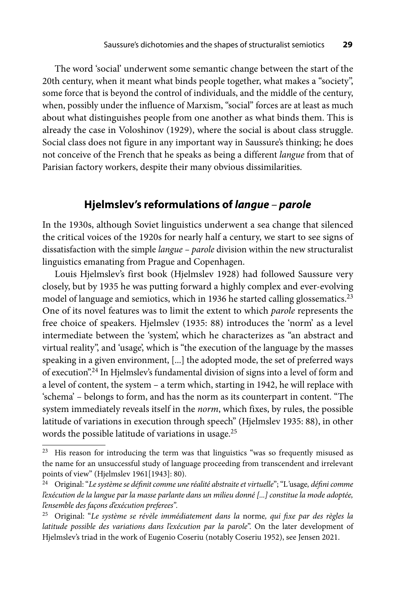The word 'social' underwent some semantic change between the start of the 20th century, when it meant what binds people together, what makes a "society", some force that is beyond the control of individuals, and the middle of the century, when, possibly under the influence of Marxism, "social" forces are at least as much about what distinguishes people from one another as what binds them. This is already the case in Voloshinov (1929), where the social is about class struggle. Social class does not figure in any important way in Saussure's thinking; he does not conceive of the French that he speaks as being a different *langue* from that of Parisian factory workers, despite their many obvious dissimilarities.

# **Hjelmslev's reformulations of** *langue – parole*

In the 1930s, although Soviet linguistics underwent a sea change that silenced the critical voices of the 1920s for nearly half a century, we start to see signs of dissatisfaction with the simple *langue – parole* division within the new structuralist linguistics emanating from Prague and Copenhagen.

Louis Hjelmslev's first book (Hjelmslev 1928) had followed Saussure very closely, but by 1935 he was putting forward a highly complex and ever-evolving model of language and semiotics, which in 1936 he started calling glossematics.<sup>23</sup> One of its novel features was to limit the extent to which *parole* represents the free choice of speakers. Hjelmslev (1935: 88) introduces the 'norm' as a level intermediate between the 'system', which he characterizes as "an abstract and virtual reality", and 'usage', which is "the execution of the language by the masses speaking in a given environment, [...] the adopted mode, the set of preferred ways of execution".24 In Hjelmslev's fundamental division of signs into a level of form and a level of content, the system – a term which, starting in 1942, he will replace with 'schema' – belongs to form, and has the norm as its counterpart in content. "The system immediately reveals itself in the *norm*, which fixes, by rules, the possible latitude of variations in execution through speech" (Hjelmslev 1935: 88), in other words the possible latitude of variations in usage.25

<sup>&</sup>lt;sup>23</sup> His reason for introducing the term was that linguistics "was so frequently misused as the name for an unsuccessful study of language proceeding from transcendent and irrelevant points of view" (Hjelmslev 1961[1943]: 80).

<sup>&</sup>lt;sup>24</sup> Original: "Le système se définit comme une réalité abstraite et virtuelle"; "L'usage, défini comme *l'exécution de la langue par la masse parlante dans un milieu donné [...] constitue la mode adoptée, l'ensemble des façons d'exécution preferees".*

<sup>&</sup>lt;sup>25</sup> Original: "Le système se révèle immédiatement dans la norme, qui fixe par des règles la *latitude possible des variations dans l'exécution par la parole*". On the later development of Hjelmslev's triad in the work of Eugenio Coseriu (notably Coseriu 1952), see Jensen 2021.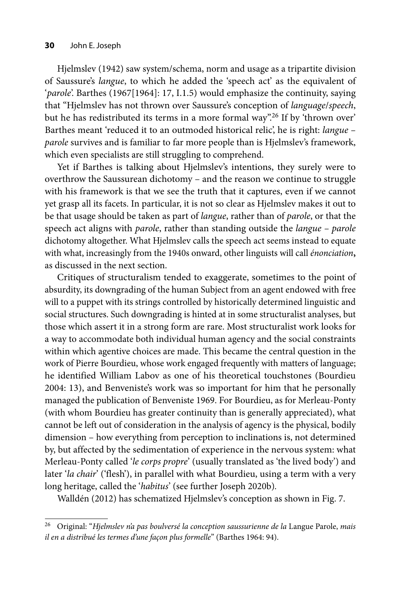Hjelmslev (1942) saw system/schema, norm and usage as a tripartite division of Saussure's *langue*, to which he added the 'speech act' as the equivalent of '*parole*'. Barthes (1967[1964]: 17, I.1.5) would emphasize the continuity, saying that "Hjelmslev has not thrown over Saussure's conception of *language*/*speech*, but he has redistributed its terms in a more formal way".<sup>26</sup> If by 'thrown over' Barthes meant 'reduced it to an outmoded historical relic', he is right: *langue – parole* survives and is familiar to far more people than is Hjelmslev's framework, which even specialists are still struggling to comprehend.

Yet if Barthes is talking about Hjelmslev's intentions, they surely were to overthrow the Saussurean dichotomy – and the reason we continue to struggle with his framework is that we see the truth that it captures, even if we cannot yet grasp all its facets. In particular, it is not so clear as Hjelmslev makes it out to be that usage should be taken as part of *langue*, rather than of *parole*, or that the speech act aligns with *parole*, rather than standing outside the *langue – parole*  dichotomy altogether. What Hjelmslev calls the speech act seems instead to equate with what, increasingly from the 1940s onward, other linguists will call *énonciation***,**  as discussed in the next section.

Critiques of structuralism tended to exaggerate, sometimes to the point of absurdity, its downgrading of the human Subject from an agent endowed with free will to a puppet with its strings controlled by historically determined linguistic and social structures. Such downgrading is hinted at in some structuralist analyses, but those which assert it in a strong form are rare. Most structuralist work looks for a way to accommodate both individual human agency and the social constraints within which agentive choices are made. This became the central question in the work of Pierre Bourdieu, whose work engaged frequently with matters of language; he identified William Labov as one of his theoretical touchstones (Bourdieu 2004: 13), and Benveniste's work was so important for him that he personally managed the publication of Benveniste 1969. For Bourdieu, as for Merleau-Ponty (with whom Bourdieu has greater continuity than is generally appreciated), what cannot be left out of consideration in the analysis of agency is the physical, bodily dimension – how everything from perception to inclinations is, not determined by, but affected by the sedimentation of experience in the nervous system: what Merleau-Ponty called '*le corps propre*' (usually translated as 'the lived body') and later '*la chair*' ('flesh'), in parallel with what Bourdieu, using a term with a very long heritage, called the '*habitus*' (see further Joseph 2020b)*.*

Walldén (2012) has schematized Hjelmslev's conception as shown in Fig. 7.

<sup>26</sup> Original: "*Hjelmslev n'a pas boulversé la conception saussurienne de la* Langue Parole, *mais il en a distribué les termes d'une façon plus formelle*" (Barthes 1964: 94).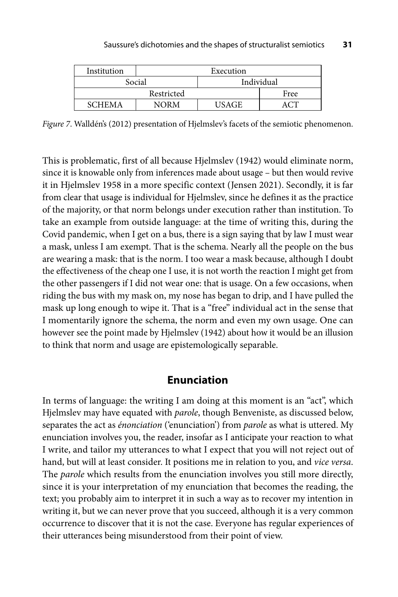| Institution   | Execution |            |      |
|---------------|-----------|------------|------|
| Social        |           | Individual |      |
| Restricted    |           |            | Free |
| <b>SCHEMA</b> | NORM      | USAGE      |      |

*Figure 7*. Walldén's (2012) presentation of Hjelmslev's facets of the semiotic phenomenon.

This is problematic, first of all because Hjelmslev (1942) would eliminate norm, since it is knowable only from inferences made about usage – but then would revive it in Hjelmslev 1958 in a more specific context (Jensen 2021). Secondly, it is far from clear that usage is individual for Hjelmslev, since he defines it as the practice of the majority, or that norm belongs under execution rather than institution. To take an example from outside language: at the time of writing this, during the Covid pandemic, when I get on a bus, there is a sign saying that by law I must wear a mask, unless I am exempt. That is the schema. Nearly all the people on the bus are wearing a mask: that is the norm. I too wear a mask because, although I doubt the effectiveness of the cheap one I use, it is not worth the reaction I might get from the other passengers if I did not wear one: that is usage. On a few occasions, when riding the bus with my mask on, my nose has began to drip, and I have pulled the mask up long enough to wipe it. That is a "free" individual act in the sense that I momentarily ignore the schema, the norm and even my own usage. One can however see the point made by Hjelmslev (1942) about how it would be an illusion to think that norm and usage are epistemologically separable.

### **Enunciation**

In terms of language: the writing I am doing at this moment is an "act", which Hjelmslev may have equated with *parole*, though Benveniste, as discussed below, separates the act as *énonciation* ('enunciation') from *parole* as what is uttered. My enunciation involves you, the reader, insofar as I anticipate your reaction to what I write, and tailor my utterances to what I expect that you will not reject out of hand, but will at least consider. It positions me in relation to you, and *vice versa*. The *parole* which results from the enunciation involves you still more directly, since it is your interpretation of my enunciation that becomes the reading, the text; you probably aim to interpret it in such a way as to recover my intention in writing it, but we can never prove that you succeed, although it is a very common occurrence to discover that it is not the case. Everyone has regular experiences of their utterances being misunderstood from their point of view.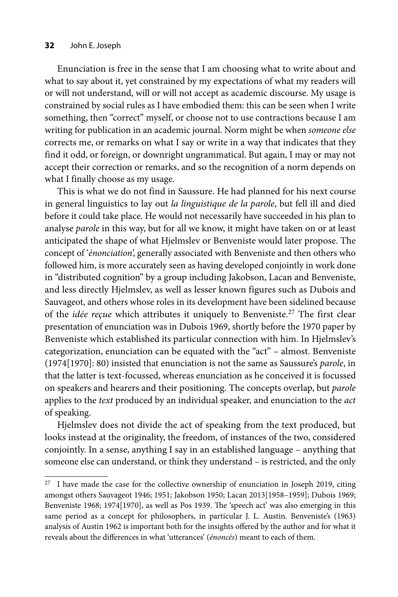#### **32** John E. Joseph

Enunciation is free in the sense that I am choosing what to write about and what to say about it, yet constrained by my expectations of what my readers will or will not understand, will or will not accept as academic discourse. My usage is constrained by social rules as I have embodied them: this can be seen when I write something, then "correct" myself, or choose not to use contractions because I am writing for publication in an academic journal. Norm might be when *someone else*  corrects me, or remarks on what I say or write in a way that indicates that they find it odd, or foreign, or downright ungrammatical. But again, I may or may not accept their correction or remarks, and so the recognition of a norm depends on what I finally choose as my usage.

This is what we do not find in Saussure. He had planned for his next course in general linguistics to lay out *la linguistique de la parole*, but fell ill and died before it could take place. He would not necessarily have succeeded in his plan to analyse *parole* in this way, but for all we know, it might have taken on or at least anticipated the shape of what Hjelmslev or Benveniste would later propose. The concept of '*énonciation*', generally associated with Benveniste and then others who followed him, is more accurately seen as having developed conjointly in work done in "distributed cognition" by a group including Jakobson, Lacan and Benveniste, and less directly Hjelmslev, as well as lesser known figures such as Dubois and Sauvageot, and others whose roles in its development have been sidelined because of the *idée reçue* which attributes it uniquely to Benveniste.27 The first clear presentation of enunciation was in Dubois 1969, shortly before the 1970 paper by Benveniste which established its particular connection with him. In Hjelmslev's categorization, enunciation can be equated with the "act" – almost. Benveniste (1974[1970]: 80) insisted that enunciation is not the same as Saussure's *parole*, in that the latter is text-focussed, whereas enunciation as he conceived it is focussed on speakers and hearers and their positioning. The concepts overlap, but *parole*  applies to the *text* produced by an individual speaker, and enunciation to the *act*  of speaking.

Hjelmslev does not divide the act of speaking from the text produced, but looks instead at the originality, the freedom, of instances of the two, considered conjointly. In a sense, anything I say in an established language – anything that someone else can understand, or think they understand – is restricted, and the only

 $27$  I have made the case for the collective ownership of enunciation in Joseph 2019, citing amongst others Sauvageot 1946; 1951; Jakobson 1950; Lacan 2013[1958–1959]; Dubois 1969; Benveniste 1968; 1974[1970], as well as Pos 1939. The 'speech act' was also emerging in this same period as a concept for philosophers, in particular J. L. Austin. Benveniste's (1963) analysis of Austin 1962 is important both for the insights offered by the author and for what it reveals about the differences in what 'utterances' (*énoncés*) meant to each of them.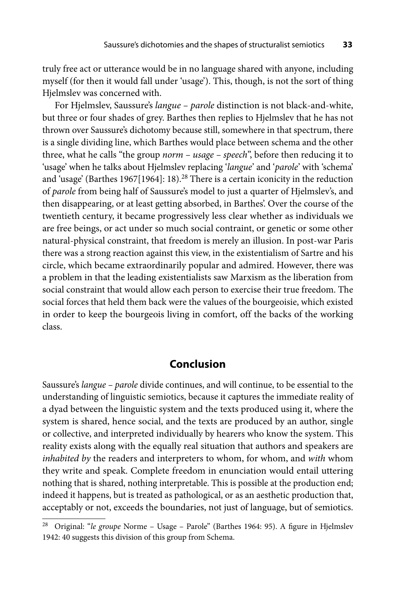truly free act or utterance would be in no language shared with anyone, including myself (for then it would fall under 'usage'). This, though, is not the sort of thing Hjelmslev was concerned with.

For Hjelmslev, Saussure's *langue – parole* distinction is not black-and-white, but three or four shades of grey. Barthes then replies to Hjelmslev that he has not thrown over Saussure's dichotomy because still, somewhere in that spectrum, there is a single dividing line, which Barthes would place between schema and the other three, what he calls "the group *norm – usage – speech*", before then reducing it to 'usage' when he talks about Hjelmslev replacing '*langue*' and '*parole*' with 'schema' and 'usage' (Barthes 1967[1964]: 18).<sup>28</sup> There is a certain iconicity in the reduction of *parole* from being half of Saussure's model to just a quarter of Hjelmslev's, and then disappearing, or at least getting absorbed, in Barthes'. Over the course of the twentieth century, it became progressively less clear whether as individuals we are free beings, or act under so much social contraint, or genetic or some other natural-physical constraint, that freedom is merely an illusion. In post-war Paris there was a strong reaction against this view, in the existentialism of Sartre and his circle, which became extraordinarily popular and admired. However, there was a problem in that the leading existentialists saw Marxism as the liberation from social constraint that would allow each person to exercise their true freedom. The social forces that held them back were the values of the bourgeoisie, which existed in order to keep the bourgeois living in comfort, off the backs of the working class.

# **Conclusion**

Saussure's *langue – parole* divide continues, and will continue, to be essential to the understanding of linguistic semiotics, because it captures the immediate reality of a dyad between the linguistic system and the texts produced using it, where the system is shared, hence social, and the texts are produced by an author, single or collective, and interpreted individually by hearers who know the system. This reality exists along with the equally real situation that authors and speakers are *inhabited by* the readers and interpreters to whom, for whom, and *with* whom they write and speak. Complete freedom in enunciation would entail uttering nothing that is shared, nothing interpretable. This is possible at the production end; indeed it happens, but is treated as pathological, or as an aesthetic production that, acceptably or not, exceeds the boundaries, not just of language, but of semiotics.

<sup>&</sup>lt;sup>28</sup> Original: "le groupe Norme - Usage - Parole" (Barthes 1964: 95). A figure in Hjelmslev 1942: 40 suggests this division of this group from Schema.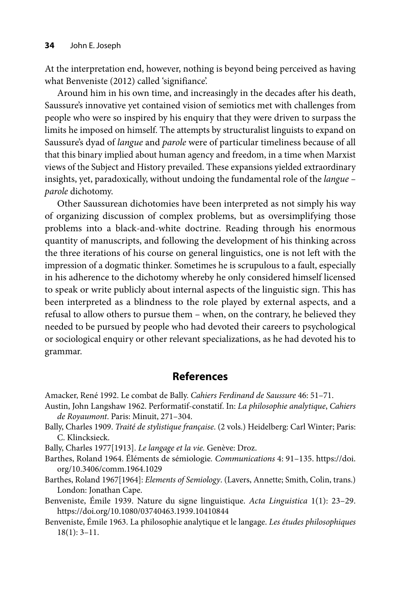At the interpretation end, however, nothing is beyond being perceived as having what Benveniste (2012) called 'signifiance'.

Around him in his own time, and increasingly in the decades after his death, Saussure's innovative yet contained vision of semiotics met with challenges from people who were so inspired by his enquiry that they were driven to surpass the limits he imposed on himself. The attempts by structuralist linguists to expand on Saussure's dyad of *langue* and *parole* were of particular timeliness because of all that this binary implied about human agency and freedom, in a time when Marxist views of the Subject and History prevailed. These expansions yielded extraordinary insights, yet, paradoxically, without undoing the fundamental role of the *langue – parole* dichotomy.

Other Saussurean dichotomies have been interpreted as not simply his way of organizing discussion of complex problems, but as oversimplifying those problems into a black-and-white doctrine. Reading through his enormous quantity of manuscripts, and following the development of his thinking across the three iterations of his course on general linguistics, one is not left with the impression of a dogmatic thinker. Sometimes he is scrupulous to a fault, especially in his adherence to the dichotomy whereby he only considered himself licensed to speak or write publicly about internal aspects of the linguistic sign. This has been interpreted as a blindness to the role played by external aspects, and a refusal to allow others to pursue them – when, on the contrary, he believed they needed to be pursued by people who had devoted their careers to psychological or sociological enquiry or other relevant specializations, as he had devoted his to grammar.

# **References**

Amacker, René 1992. Le combat de Bally. *Cahiers Ferdinand de Saussure* 46: 51–71.

- Austin, John Langshaw 1962. Performatif-constatif. In: *La philosophie analytique*, *Cahiers de Royaumont*. Paris: Minuit, 271–304.
- Bally, Charles 1909. *Traité de stylistique française*. (2 vols.) Heidelberg: Carl Winter; Paris: C. Klincksieck.

Bally, Charles 1977[1913]. *Le langage et la vie.* Genève: Droz.

Ba[rthes, Roland 1964. Éléments de sémiologie](https://doi.org/10.3406/comm.1964.1029)*. Communications* 4: 91–135. https://doi. org/10.3406/comm.1964.1029

- Barthes, Roland 1967[1964]: *Elements of Semiology*. (Lavers, Annette; Smith, Colin, trans.) London: Jonathan Cape.
- Benveniste, Émile 1939. Nature du signe linguistique. *Acta Linguistica* 1(1): 23–29. https://doi.org/10.1080/03740463.1939.10410844
- Benveniste, Émile 1963. La philosophie analytique et le langage. *Les études philosophiques* 18(1): 3–11.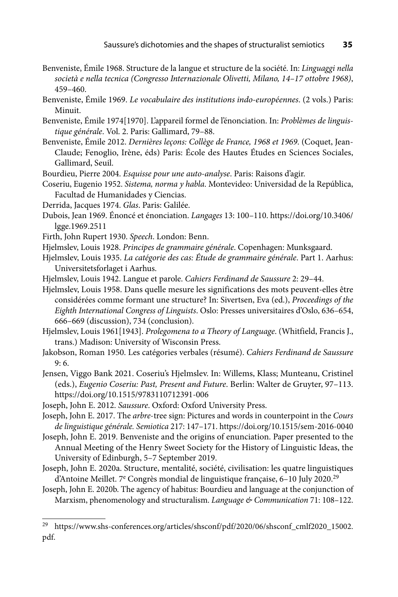- Benveniste, Émile 1968. Structure de la langue et structure de la société. In: *Linguaggi nella società e nella tecnica (Congresso Internazionale Olivetti, Milano, 14–17 ottobre 1968)*, 459–460.
- Benveniste, Émile 1969. *Le vocabulaire des institutions indo-européennes*. (2 vols.) Paris: Minuit.
- Benveniste, Émile 1974[1970]. L'appareil formel de l'énonciation. In: *Problèmes de linguistique générale*. Vol. 2. Paris: Gallimard, 79–88.
- Benveniste, Émile 2012. *Dernières leçons: Collège de France, 1968 et 1969*. (Coquet, Jean-Claude; Fenoglio, Irène, éds) Paris: École des Hautes Études en Sciences Sociales, Gallimard, Seuil.
- Bourdieu, Pierre 2004. *Esquisse pour une auto-analyse*. Paris: Raisons d'agir.
- Coseriu, Eugenio 1952. *Sistema, norma y habla*. Montevideo: Universidad de la República, Facultad de Humanidades y Ciencias.
- Derrida, Jacques 1974. *Glas*. Paris: Galilée.
- Du[bois, Jean 1969. Énoncé et énonciation.](https://doi.org/10.3406/lgge.1969.2511) *Langages* 13: 100–110. https://doi.org/10.3406/ lgge.1969.2511
- Firth, John Rupert 1930. *Speech*. London: Benn.
- Hjelmslev, Louis 1928. *Principes de grammaire générale*. Copenhagen: Munksgaard.
- Hjelmslev, Louis 1935. *La catégorie des cas: Étude de grammaire générale*. Part 1. Aarhus: Universitetsforlaget i Aarhus.
- Hjelmslev, Louis 1942. Langue et parole. *Cahiers Ferdinand de Saussure* 2: 29–44.
- Hjelmslev, Louis 1958. Dans quelle mesure les significations des mots peuvent-elles être considérées comme formant une structure? In: Sivertsen, Eva (ed.), *Proceedings of the Eighth International Congress of Linguists*. Oslo: Presses universitaires d'Oslo, 636–654, 666–669 (discussion), 734 (conclusion).
- Hjelmslev, Louis 1961[1943]. *Prolegomena to a Theory of Language*. (Whitfield, Francis J., trans.) Madison: University of Wisconsin Press.
- Jakobson, Roman 1950. Les catégories verbales (résumé). *Cahiers Ferdinand de Saussure*  9: 6.
- Jensen, Viggo Bank 2021. Coseriu's Hjelmslev. In: Willems, Klass; Munteanu, Cristinel (eds.), *Eugenio Coseriu: Past, Present and Future*. Berlin: Walter de Gruyter, 97–113. https://doi.org/10.1515/9783110712391-006
- Joseph, John E. 2012. *Saussure*. Oxford: Oxford University Press.
- Joseph, John E. 2017. The *arbre*-tree sign: Pictures and words in counterpoint in the *Cours de linguistique générale. Semiotica* 217: 147–171. https://doi.org/10.1515/sem-2016-0040
- Joseph, John E. 2019. Benveniste and the origins of enunciation. Paper presented to the Annual Meeting of the Henry Sweet Society for the History of Linguistic Ideas, the University of Edinburgh, 5–7 September 2019.
- Joseph, John E. 2020a. Structure, mentalité, société, civilisation: les quatre linguistiques d'Antoine Meillet. 7<sup>e</sup> Congrès mondial de linguistique française, 6-10 July 2020.<sup>29</sup>
- Joseph, John E. 2020b. The agency of habitus: Bourdieu and language at the conjunction of Marxism, phenomenology and structuralism. *Language & Communication* 71: 108–122.

<sup>&</sup>lt;sup>29</sup> https://www.shs-conferences.org/articles/shsconf/pdf/2020/06/shsconf\_cmlf2020\_15002. pdf.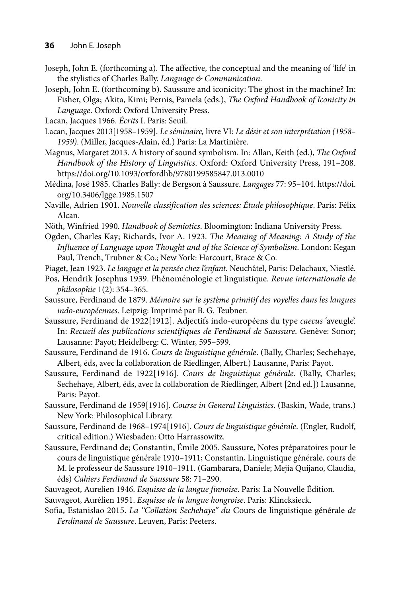#### **36** John E. Joseph

- Joseph, John E. (forthcoming a). The affective, the conceptual and the meaning of 'life' in the stylistics of Charles Bally. *Language & Communication*.
- Joseph, John E. (forthcoming b). Saussure and iconicity: The ghost in the machine? In: Fisher, Olga; Akita, Kimi; Pernis, Pamela (eds.), *The Oxford Handbook of Iconicity in Language*. Oxford: Oxford University Press.
- Lacan, Jacques 1966. *Écrits* I. Paris: Seuil.
- Lacan, Jacques 2013[1958–1959]. *Le séminaire,* livre VI: *Le désir et son interprétation (1958– 1959)*. (Miller, Jacques-Alain, éd.) Paris: La Martinière.
- Magnus, Margaret 2013. A history of sound symbolism. In: Allan, Keith (ed.), *The Oxford Handbook of the History of Linguistics*. Oxford: Oxford University Press, 191–208. https://doi.org/10.1093/oxfordhb/9780199585847.013.0010
- Mé[dina, José 1985. Charles Bally: de Bergson à Saussure.](https://doi.org/10.3406/lgge.1985.1507) *Langages* 77: 95–104. https://doi. org/10.3406/lgge.1985.1507
- Naville, Adrien 1901. *Nouvelle classification des sciences: Étude philosophique*. Paris: Félix Alcan.
- Nöth, Winfried 1990. *Handbook of Semiotics*. Bloomington: Indiana University Press.
- Ogden, Charles Kay; Richards, Ivor A. 1923. *The Meaning of Meaning: A Study of the Influence of Language upon Thought and of the Science of Symbolism*. London: Kegan Paul, Trench, Trubner & Co.; New York: Harcourt, Brace & Co.
- Piaget, Jean 1923. *Le langage et la pensée chez l'enfant*. Neuchâtel, Paris: Delachaux, Niestlé.
- Pos, Hendrik Josephus 1939. Phénoménologie et linguistique. *Revue internationale de philosophie* 1(2): 354–365.
- Saussure, Ferdinand de 1879. *Mémoire sur le système primitif des voyelles dans les langues indo-européennes*. Leipzig: Imprimé par B. G. Teubner.
- Saussure, Ferdinand de 1922[1912]. Adjectifs indo-européens du type *caecus* 'aveugle'. In: *Recueil des publications scientifiques de Ferdinand de Saussure*. Genève: Sonor; Lausanne: Payot; Heidelberg: C. Winter, 595–599.
- Saussure, Ferdinand de 1916. *Cours de linguistique générale*. (Bally, Charles; Sechehaye, Albert, éds, avec la collaboration de Riedlinger, Albert.) Lausanne, Paris: Payot.
- Saussure, Ferdinand de 1922[1916]. *Cours de linguistique générale*. (Bally, Charles; Sechehaye, Albert, éds, avec la collaboration de Riedlinger, Albert [2nd ed.]) Lausanne, Paris: Payot.
- Saussure, Ferdinand de 1959[1916]. *Course in General Linguistics*. (Baskin, Wade, trans.) New York: Philosophical Library.
- Saussure, Ferdinand de 1968–1974[1916]. *Cours de linguistique générale*. (Engler, Rudolf, critical edition.) Wiesbaden: Otto Harrassowitz.
- Saussure, Ferdinand de; Constantin, Émile 2005. Saussure, Notes préparatoires pour le cours de linguistique générale 1910–1911; Constantin, Linguistique générale, cours de M. le professeur de Saussure 1910–1911. (Gambarara, Daniele; Mejía Quijano, Claudia, éds) *Cahiers Ferdinand de Saussure* 58: 71–290.
- Sauvageot, Aurelien 1946. *Esquisse de la langue finnoise*. Paris: La Nouvelle Édition.
- Sauvageot, Aurélien 1951. *Esquisse de la langue hongroise*. Paris: Klincksieck.
- Sofia, Estanislao 2015. *La "Collation Sechehaye" du* Cours de linguistique générale *de Ferdinand de Saussure*. Leuven, Paris: Peeters.